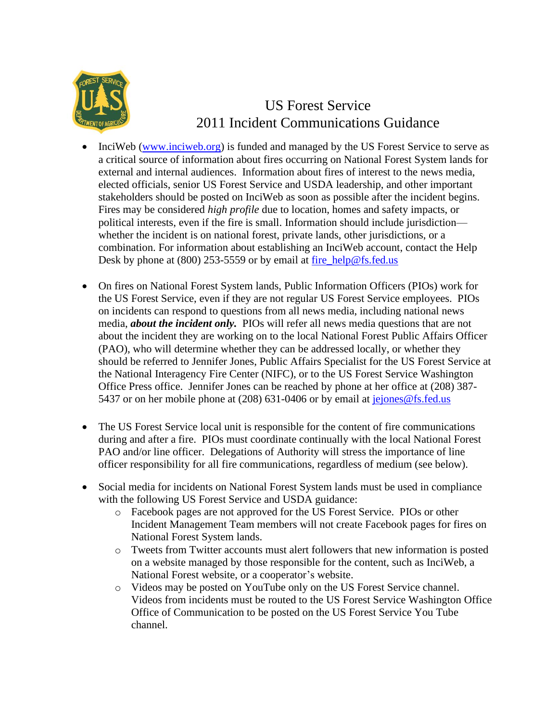

## US Forest Service 2011 Incident Communications Guidance

- InciWeb [\(www.inciweb.org\)](http://www.inciweb.org/) is funded and managed by the US Forest Service to serve as a critical source of information about fires occurring on National Forest System lands for external and internal audiences. Information about fires of interest to the news media, elected officials, senior US Forest Service and USDA leadership, and other important stakeholders should be posted on InciWeb as soon as possible after the incident begins. Fires may be considered *high profile* due to location, homes and safety impacts, or political interests, even if the fire is small. Information should include jurisdiction whether the incident is on national forest, private lands, other jurisdictions, or a combination. For information about establishing an InciWeb account, contact the Help Desk by phone at (800) 253-5559 or by email at [fire\\_help@fs.fed.us](mailto:fire_help@fs.fed.us)
- On fires on National Forest System lands, Public Information Officers (PIOs) work for the US Forest Service, even if they are not regular US Forest Service employees. PIOs on incidents can respond to questions from all news media, including national news media, *about the incident only.* PIOs will refer all news media questions that are not about the incident they are working on to the local National Forest Public Affairs Officer (PAO), who will determine whether they can be addressed locally, or whether they should be referred to Jennifer Jones, Public Affairs Specialist for the US Forest Service at the National Interagency Fire Center (NIFC), or to the US Forest Service Washington Office Press office. Jennifer Jones can be reached by phone at her office at (208) 387 5437 or on her mobile phone at (208) 631-0406 or by email at [jejones@fs.fed.us](mailto:jejones@fs.fed.us)
- The US Forest Service local unit is responsible for the content of fire communications during and after a fire. PIOs must coordinate continually with the local National Forest PAO and/or line officer. Delegations of Authority will stress the importance of line officer responsibility for all fire communications, regardless of medium (see below).
- Social media for incidents on National Forest System lands must be used in compliance with the following US Forest Service and USDA guidance:
	- o Facebook pages are not approved for the US Forest Service. PIOs or other Incident Management Team members will not create Facebook pages for fires on National Forest System lands.
	- o Tweets from Twitter accounts must alert followers that new information is posted on a website managed by those responsible for the content, such as InciWeb, a National Forest website, or a cooperator's website.
	- o Videos may be posted on YouTube only on the US Forest Service channel. Videos from incidents must be routed to the US Forest Service Washington Office Office of Communication to be posted on the US Forest Service You Tube channel.